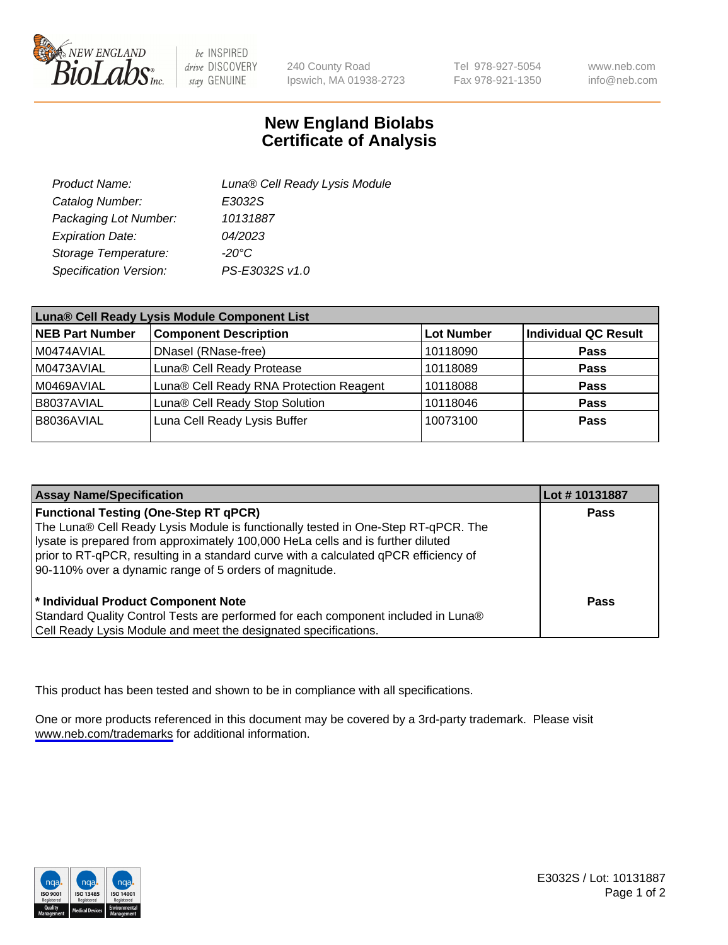

be INSPIRED drive DISCOVERY stay GENUINE

240 County Road Ipswich, MA 01938-2723 Tel 978-927-5054 Fax 978-921-1350

www.neb.com info@neb.com

## **New England Biolabs Certificate of Analysis**

| Product Name:           | Luna® Cell Ready Lysis Module |
|-------------------------|-------------------------------|
| Catalog Number:         | E3032S                        |
| Packaging Lot Number:   | 10131887                      |
| <b>Expiration Date:</b> | 04/2023                       |
| Storage Temperature:    | -20°C                         |
| Specification Version:  | PS-E3032S v1.0                |

| Luna® Cell Ready Lysis Module Component List |                                         |                   |                             |  |
|----------------------------------------------|-----------------------------------------|-------------------|-----------------------------|--|
| <b>NEB Part Number</b>                       | <b>Component Description</b>            | <b>Lot Number</b> | <b>Individual QC Result</b> |  |
| M0474AVIAL                                   | DNasel (RNase-free)                     | 10118090          | <b>Pass</b>                 |  |
| M0473AVIAL                                   | Luna® Cell Ready Protease               | 10118089          | <b>Pass</b>                 |  |
| M0469AVIAL                                   | Luna® Cell Ready RNA Protection Reagent | 10118088          | <b>Pass</b>                 |  |
| B8037AVIAL                                   | Luna® Cell Ready Stop Solution          | 10118046          | <b>Pass</b>                 |  |
| B8036AVIAL                                   | Luna Cell Ready Lysis Buffer            | 10073100          | Pass                        |  |
|                                              |                                         |                   |                             |  |

| <b>Assay Name/Specification</b>                                                                                                                                                                                                                                                                                                                                        | Lot #10131887 |
|------------------------------------------------------------------------------------------------------------------------------------------------------------------------------------------------------------------------------------------------------------------------------------------------------------------------------------------------------------------------|---------------|
| <b>Functional Testing (One-Step RT qPCR)</b><br>The Luna® Cell Ready Lysis Module is functionally tested in One-Step RT-qPCR. The<br>lysate is prepared from approximately 100,000 HeLa cells and is further diluted<br>prior to RT-qPCR, resulting in a standard curve with a calculated qPCR efficiency of<br>90-110% over a dynamic range of 5 orders of magnitude. | <b>Pass</b>   |
| * Individual Product Component Note<br>Standard Quality Control Tests are performed for each component included in Luna®<br>Cell Ready Lysis Module and meet the designated specifications.                                                                                                                                                                            | Pass          |

This product has been tested and shown to be in compliance with all specifications.

One or more products referenced in this document may be covered by a 3rd-party trademark. Please visit <www.neb.com/trademarks>for additional information.